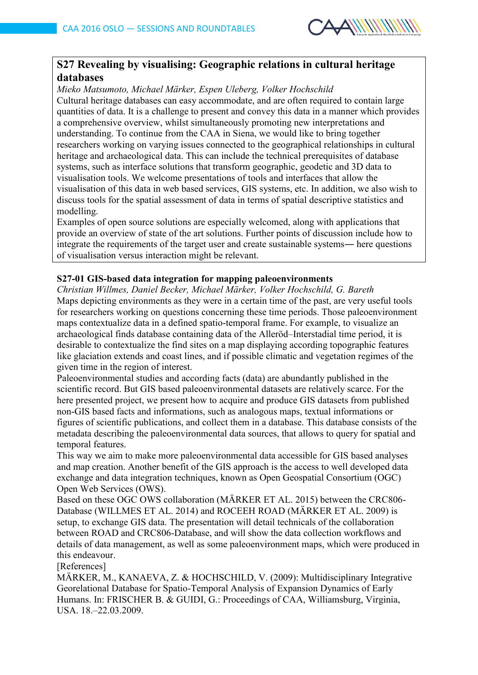

# **S27 Revealing by visualising: Geographic relations in cultural heritage databases**

*Mieko Matsumoto, Michael Märker, Espen Uleberg, Volker Hochschild* Cultural heritage databases can easy accommodate, and are often required to contain large quantities of data. It is a challenge to present and convey this data in a manner which provides a comprehensive overview, whilst simultaneously promoting new interpretations and understanding. To continue from the CAA in Siena, we would like to bring together researchers working on varying issues connected to the geographical relationships in cultural heritage and archaeological data. This can include the technical prerequisites of database systems, such as interface solutions that transform geographic, geodetic and 3D data to visualisation tools. We welcome presentations of tools and interfaces that allow the visualisation of this data in web based services, GIS systems, etc. In addition, we also wish to discuss tools for the spatial assessment of data in terms of spatial descriptive statistics and modelling.

Examples of open source solutions are especially welcomed, along with applications that provide an overview of state of the art solutions. Further points of discussion include how to integrate the requirements of the target user and create sustainable systems― here questions of visualisation versus interaction might be relevant.

# **S27-01 GIS-based data integration for mapping paleoenvironments**

*Christian Willmes, Daniel Becker, Michael Märker, Volker Hochschild, G. Bareth* Maps depicting environments as they were in a certain time of the past, are very useful tools for researchers working on questions concerning these time periods. Those paleoenvironment maps contextualize data in a defined spatio-temporal frame. For example, to visualize an archaeological finds database containing data of the Alleröd–Interstadial time period, it is desirable to contextualize the find sites on a map displaying according topographic features like glaciation extends and coast lines, and if possible climatic and vegetation regimes of the given time in the region of interest.

Paleoenvironmental studies and according facts (data) are abundantly published in the scientific record. But GIS based paleoenvironmental datasets are relatively scarce. For the here presented project, we present how to acquire and produce GIS datasets from published non-GIS based facts and informations, such as analogous maps, textual informations or figures of scientific publications, and collect them in a database. This database consists of the metadata describing the paleoenvironmental data sources, that allows to query for spatial and temporal features.

This way we aim to make more paleoenvironmental data accessible for GIS based analyses and map creation. Another benefit of the GIS approach is the access to well developed data exchange and data integration techniques, known as Open Geospatial Consortium (OGC) Open Web Services (OWS).

Based on these OGC OWS collaboration (MÄRKER ET AL. 2015) between the CRC806- Database (WILLMES ET AL. 2014) and ROCEEH ROAD (MÄRKER ET AL. 2009) is setup, to exchange GIS data. The presentation will detail technicals of the collaboration between ROAD and CRC806-Database, and will show the data collection workflows and details of data management, as well as some paleoenvironment maps, which were produced in this endeavour.

[References]

MÄRKER, M., KANAEVA, Z. & HOCHSCHILD, V. (2009): Multidisciplinary Integrative Georelational Database for Spatio-Temporal Analysis of Expansion Dynamics of Early Humans. In: FRISCHER B. & GUIDI, G.: Proceedings of CAA, Williamsburg, Virginia, USA. 18.–22.03.2009.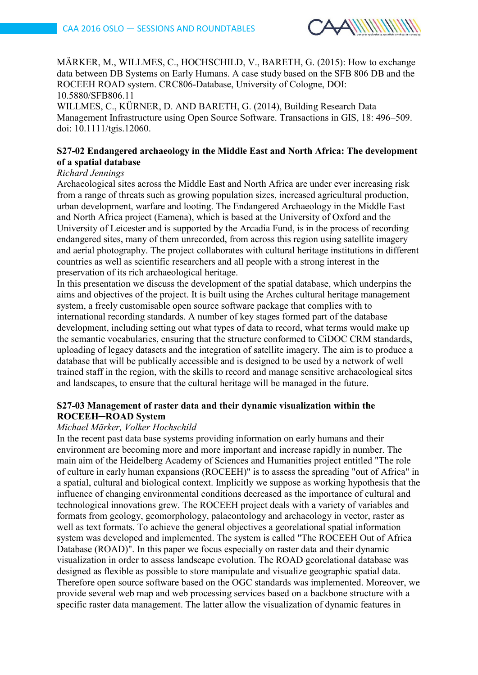

MÄRKER, M., WILLMES, C., HOCHSCHILD, V., BARETH, G. (2015): How to exchange data between DB Systems on Early Humans. A case study based on the SFB 806 DB and the ROCEEH ROAD system. CRC806-Database, University of Cologne, DOI: 10.5880/SFB806.11

WILLMES, C., KÜRNER, D. AND BARETH, G. (2014), Building Research Data Management Infrastructure using Open Source Software. Transactions in GIS, 18: 496–509. doi: 10.1111/tgis.12060.

# **S27-02 Endangered archaeology in the Middle East and North Africa: The development of a spatial database**

#### *Richard Jennings*

Archaeological sites across the Middle East and North Africa are under ever increasing risk from a range of threats such as growing population sizes, increased agricultural production, urban development, warfare and looting. The Endangered Archaeology in the Middle East and North Africa project (Eamena), which is based at the University of Oxford and the University of Leicester and is supported by the Arcadia Fund, is in the process of recording endangered sites, many of them unrecorded, from across this region using satellite imagery and aerial photography. The project collaborates with cultural heritage institutions in different countries as well as scientific researchers and all people with a strong interest in the preservation of its rich archaeological heritage.

In this presentation we discuss the development of the spatial database, which underpins the aims and objectives of the project. It is built using the Arches cultural heritage management system, a freely customisable open source software package that complies with to international recording standards. A number of key stages formed part of the database development, including setting out what types of data to record, what terms would make up the semantic vocabularies, ensuring that the structure conformed to CiDOC CRM standards, uploading of legacy datasets and the integration of satellite imagery. The aim is to produce a database that will be publically accessible and is designed to be used by a network of well trained staff in the region, with the skills to record and manage sensitive archaeological sites and landscapes, to ensure that the cultural heritage will be managed in the future.

# **S27-03 Management of raster data and their dynamic visualization within the ROCEEH─ROAD System**

### *Michael Märker, Volker Hochschild*

In the recent past data base systems providing information on early humans and their environment are becoming more and more important and increase rapidly in number. The main aim of the Heidelberg Academy of Sciences and Humanities project entitled "The role of culture in early human expansions (ROCEEH)" is to assess the spreading "out of Africa" in a spatial, cultural and biological context. Implicitly we suppose as working hypothesis that the influence of changing environmental conditions decreased as the importance of cultural and technological innovations grew. The ROCEEH project deals with a variety of variables and formats from geology, geomorphology, palaeontology and archaeology in vector, raster as well as text formats. To achieve the general objectives a georelational spatial information system was developed and implemented. The system is called "The ROCEEH Out of Africa Database (ROAD)". In this paper we focus especially on raster data and their dynamic visualization in order to assess landscape evolution. The ROAD georelational database was designed as flexible as possible to store manipulate and visualize geographic spatial data. Therefore open source software based on the OGC standards was implemented. Moreover, we provide several web map and web processing services based on a backbone structure with a specific raster data management. The latter allow the visualization of dynamic features in